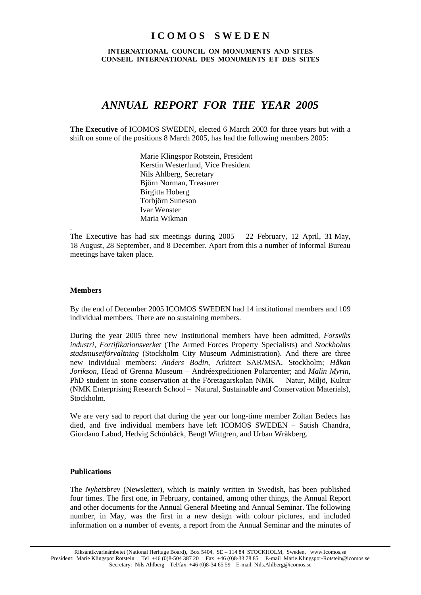# **I C O M O S S W E D E N**

**INTERNATIONAL COUNCIL ON MONUMENTS AND SITES CONSEIL INTERNATIONAL DES MONUMENTS ET DES SITES** 

# *ANNUAL REPORT FOR THE YEAR 2005*

**The Executive** of ICOMOS SWEDEN, elected 6 March 2003 for three years but with a shift on some of the positions 8 March 2005, has had the following members 2005:

> Marie Klingspor Rotstein, President Kerstin Westerlund, Vice President Nils Ahlberg, Secretary Björn Norman, Treasurer Birgitta Hoberg Torbjörn Suneson Ivar Wenster Maria Wikman

The Executive has had six meetings during 2005 – 22 February, 12 April, 31 May, 18 August, 28 September, and 8 December. Apart from this a number of informal Bureau meetings have taken place.

## **Members**

.

By the end of December 2005 ICOMOS SWEDEN had 14 institutional members and 109 individual members. There are no sustaining members.

During the year 2005 three new Institutional members have been admitted, *Forsviks industri*, *Fortifikationsverket* (The Armed Forces Property Specialists) and *Stockholms stadsmuseiförvaltning* (Stockholm City Museum Administration). And there are three new individual members: *Anders Bodin*, Arkitect SAR/MSA, Stockholm; *Håkan Jorikson*, Head of Grenna Museum – Andréexpeditionen Polarcenter; and *Malin Myrin*, PhD student in stone conservation at the Företagarskolan NMK – Natur, Miljö, Kultur (NMK Enterprising Research School – Natural, Sustainable and Conservation Materials), Stockholm.

We are very sad to report that during the year our long-time member Zoltan Bedecs has died, and five individual members have left ICOMOS SWEDEN – Satish Chandra, Giordano Labud, Hedvig Schönbäck, Bengt Wittgren, and Urban Wråkberg.

#### **Publications**

The *Nyhetsbrev* (Newsletter), which is mainly written in Swedish, has been published four times. The first one, in February, contained, among other things, the Annual Report and other documents for the Annual General Meeting and Annual Seminar. The following number, in May, was the first in a new design with colour pictures, and included information on a number of events, a report from the Annual Seminar and the minutes of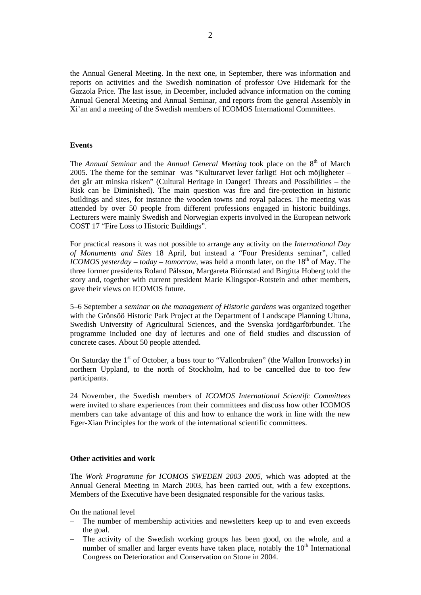the Annual General Meeting. In the next one, in September, there was information and reports on activities and the Swedish nomination of professor Ove Hidemark for the Gazzola Price. The last issue, in December, included advance information on the coming Annual General Meeting and Annual Seminar, and reports from the general Assembly in Xi'an and a meeting of the Swedish members of ICOMOS International Committees.

## **Events**

The *Annual Seminar* and the *Annual General Meeting* took place on the 8<sup>th</sup> of March 2005. The theme for the seminar was "Kulturarvet lever farligt! Hot och möjligheter – det går att minska risken" (Cultural Heritage in Danger! Threats and Possibilities – the Risk can be Diminished). The main question was fire and fire-protection in historic buildings and sites, for instance the wooden towns and royal palaces. The meeting was attended by over 50 people from different professions engaged in historic buildings. Lecturers were mainly Swedish and Norwegian experts involved in the European network COST 17 "Fire Loss to Historic Buildings".

For practical reasons it was not possible to arrange any activity on the *International Day of Monuments and Sites* 18 April, but instead a "Four Presidents seminar", called *ICOMOS yesterday – today – tomorrow*, was held a month later, on the  $18<sup>th</sup>$  of May. The three former presidents Roland Pålsson, Margareta Biörnstad and Birgitta Hoberg told the story and, together with current president Marie Klingspor-Rotstein and other members, gave their views on ICOMOS future.

5–6 September a *seminar on the management of Historic gardens* was organized together with the Grönsöö Historic Park Project at the Department of Landscape Planning Ultuna, Swedish University of Agricultural Sciences, and the Svenska jordägarförbundet. The programme included one day of lectures and one of field studies and discussion of concrete cases. About 50 people attended.

On Saturday the  $1<sup>st</sup>$  of October, a buss tour to "Vallonbruken" (the Wallon Ironworks) in northern Uppland, to the north of Stockholm, had to be cancelled due to too few participants.

24 November, the Swedish members of *ICOMOS International Scientifc Committees* were invited to share experiences from their committees and discuss how other ICOMOS members can take advantage of this and how to enhance the work in line with the new Eger-Xian Principles for the work of the international scientific committees.

#### **Other activities and work**

The *Work Programme for ICOMOS SWEDEN 2003–2005*, which was adopted at the Annual General Meeting in March 2003, has been carried out, with a few exceptions. Members of the Executive have been designated responsible for the various tasks.

On the national level

- The number of membership activities and newsletters keep up to and even exceeds the goal.
- The activity of the Swedish working groups has been good, on the whole, and a number of smaller and larger events have taken place, notably the  $10<sup>th</sup>$  International Congress on Deterioration and Conservation on Stone in 2004.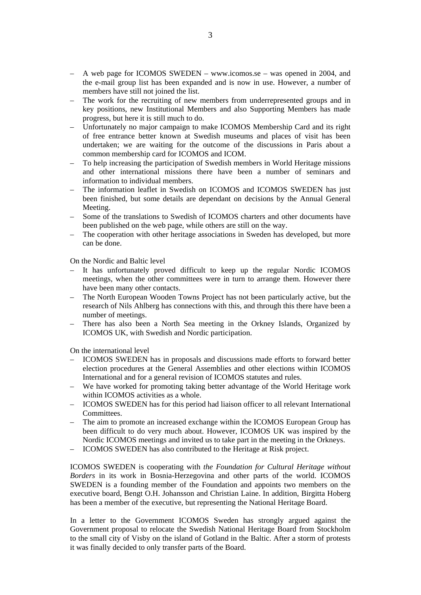- A web page for ICOMOS SWEDEN www.icomos.se was opened in 2004, and the e-mail group list has been expanded and is now in use. However, a number of members have still not joined the list.
- The work for the recruiting of new members from underrepresented groups and in key positions, new Institutional Members and also Supporting Members has made progress, but here it is still much to do.
- Unfortunately no major campaign to make ICOMOS Membership Card and its right of free entrance better known at Swedish museums and places of visit has been undertaken; we are waiting for the outcome of the discussions in Paris about a common membership card for ICOMOS and ICOM.
- To help increasing the participation of Swedish members in World Heritage missions and other international missions there have been a number of seminars and information to individual members.
- The information leaflet in Swedish on ICOMOS and ICOMOS SWEDEN has just been finished, but some details are dependant on decisions by the Annual General Meeting.
- Some of the translations to Swedish of ICOMOS charters and other documents have been published on the web page, while others are still on the way.
- The cooperation with other heritage associations in Sweden has developed, but more can be done.

On the Nordic and Baltic level

- It has unfortunately proved difficult to keep up the regular Nordic ICOMOS meetings, when the other committees were in turn to arrange them. However there have been many other contacts.
- The North European Wooden Towns Project has not been particularly active, but the research of Nils Ahlberg has connections with this, and through this there have been a number of meetings.
- There has also been a North Sea meeting in the Orkney Islands, Organized by ICOMOS UK, with Swedish and Nordic participation.

On the international level

- ICOMOS SWEDEN has in proposals and discussions made efforts to forward better election procedures at the General Assemblies and other elections within ICOMOS International and for a general revision of ICOMOS statutes and rules.
- We have worked for promoting taking better advantage of the World Heritage work within ICOMOS activities as a whole.
- ICOMOS SWEDEN has for this period had liaison officer to all relevant International Committees.
- The aim to promote an increased exchange within the ICOMOS European Group has been difficult to do very much about. However, ICOMOS UK was inspired by the Nordic ICOMOS meetings and invited us to take part in the meeting in the Orkneys.
- ICOMOS SWEDEN has also contributed to the Heritage at Risk project.

ICOMOS SWEDEN is cooperating with *the Foundation for Cultural Heritage without Borders* in its work in Bosnia-Herzegovina and other parts of the world. ICOMOS SWEDEN is a founding member of the Foundation and appoints two members on the executive board, Bengt O.H. Johansson and Christian Laine. In addition, Birgitta Hoberg has been a member of the executive, but representing the National Heritage Board.

In a letter to the Government ICOMOS Sweden has strongly argued against the Government proposal to relocate the Swedish National Heritage Board from Stockholm to the small city of Visby on the island of Gotland in the Baltic. After a storm of protests it was finally decided to only transfer parts of the Board.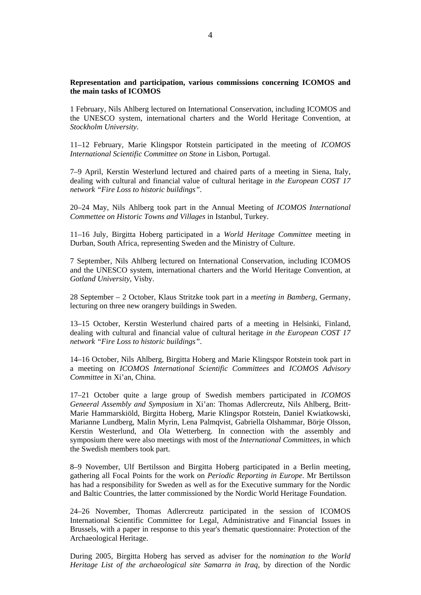## **Representation and participation, various commissions concerning ICOMOS and the main tasks of ICOMOS**

1 February, Nils Ahlberg lectured on International Conservation, including ICOMOS and the UNESCO system, international charters and the World Heritage Convention, at *Stockholm University*.

11–12 February, Marie Klingspor Rotstein participated in the meeting of *ICOMOS International Scientific Committee on Stone* in Lisbon, Portugal.

7–9 April, Kerstin Westerlund lectured and chaired parts of a meeting in Siena, Italy*,*  dealing with cultural and financial value of cultural heritage in *the European COST 17 network "Fire Loss to historic buildings"*.

20–24 May, Nils Ahlberg took part in the Annual Meeting of *ICOMOS International Commettee on Historic Towns and Villages* in Istanbul, Turkey.

11–16 July, Birgitta Hoberg participated in a *World Heritage Committee* meeting in Durban, South Africa, representing Sweden and the Ministry of Culture.

7 September, Nils Ahlberg lectured on International Conservation, including ICOMOS and the UNESCO system, international charters and the World Heritage Convention, at *Gotland University*, Visby.

28 September – 2 October, Klaus Stritzke took part in a *meeting in Bamberg*, Germany, lecturing on three new orangery buildings in Sweden.

13–15 October, Kerstin Westerlund chaired parts of a meeting in Helsinki, Finland, dealing with cultural and financial value of cultural heritage *in the European COST 17 network "Fire Loss to historic buildings"*.

14–16 October, Nils Ahlberg, Birgitta Hoberg and Marie Klingspor Rotstein took part in a meeting on *ICOMOS International Scientific Committees* and *ICOMOS Advisory Committee* in Xi'an, China.

17–21 October quite a large group of Swedish members participated in *ICOMOS Geneeral Assembly and Symposium* in Xi'an: Thomas Adlercreutz, Nils Ahlberg, Britt-Marie Hammarskiöld, Birgitta Hoberg, Marie Klingspor Rotstein, Daniel Kwiatkowski, Marianne Lundberg, Malin Myrin, Lena Palmqvist, Gabriella Olshammar, Börje Olsson, Kerstin Westerlund, and Ola Wetterberg. In connection with the assembly and symposium there were also meetings with most of the *International Committees*, in which the Swedish members took part.

8–9 November, Ulf Bertilsson and Birgitta Hoberg participated in a Berlin meeting, gathering all Focal Points for the work on *Periodic Reporting in Europe*. Mr Bertilsson has had a responsibility for Sweden as well as for the Executive summary for the Nordic and Baltic Countries, the latter commissioned by the Nordic World Heritage Foundation.

24–26 November, Thomas Adlercreutz participated in the session of ICOMOS International Scientific Committee for Legal, Administrative and Financial Issues in Brussels, with a paper in response to this year's thematic questionnaire: Protection of the Archaeological Heritage.

During 2005, Birgitta Hoberg has served as adviser for the *nomination to the World Heritage List of the archaeological site Samarra in Iraq*, by direction of the Nordic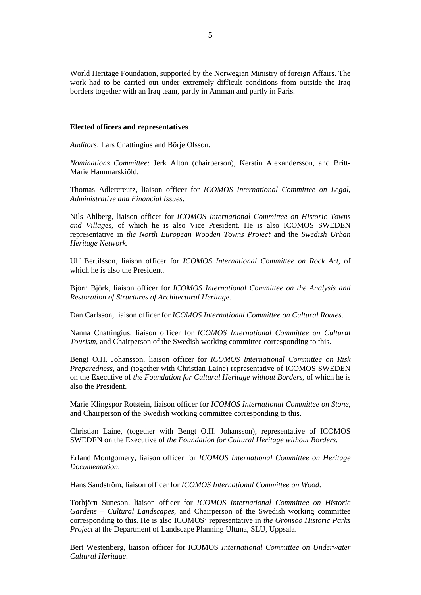World Heritage Foundation, supported by the Norwegian Ministry of foreign Affairs. The work had to be carried out under extremely difficult conditions from outside the Iraq borders together with an Iraq team, partly in Amman and partly in Paris.

### **Elected officers and representatives**

*Auditors*: Lars Cnattingius and Börje Olsson.

*Nominations Committee*: Jerk Alton (chairperson), Kerstin Alexandersson, and Britt-Marie Hammarskiöld.

Thomas Adlercreutz, liaison officer for *ICOMOS International Committee on Legal, Administrative and Financial Issues*.

Nils Ahlberg, liaison officer for *ICOMOS International Committee on Historic Towns and Villages*, of which he is also Vice President. He is also ICOMOS SWEDEN representative in *the North European Wooden Towns Project* and the *Swedish Urban Heritage Network.*

Ulf Bertilsson, liaison officer for *ICOMOS International Committee on Rock Art*, of which he is also the President.

Björn Björk, liaison officer for *ICOMOS International Committee on the Analysis and Restoration of Structures of Architectural Heritage*.

Dan Carlsson, liaison officer for *ICOMOS International Committee on Cultural Routes*.

Nanna Cnattingius, liaison officer for *ICOMOS International Committee on Cultural Tourism*, and Chairperson of the Swedish working committee corresponding to this.

Bengt O.H. Johansson, liaison officer for *ICOMOS International Committee on Risk Preparedness*, and (together with Christian Laine) representative of ICOMOS SWEDEN on the Executive of *the Foundation for Cultural Heritage without Borders*, of which he is also the President.

Marie Klingspor Rotstein, liaison officer for *ICOMOS International Committee on Stone*, and Chairperson of the Swedish working committee corresponding to this.

Christian Laine, (together with Bengt O.H. Johansson), representative of ICOMOS SWEDEN on the Executive of *the Foundation for Cultural Heritage without Borders*.

Erland Montgomery, liaison officer for *ICOMOS International Committee on Heritage Documentation*.

Hans Sandström, liaison officer for *ICOMOS International Committee on Wood*.

Torbjörn Suneson, liaison officer for *ICOMOS International Committee on Historic Gardens – Cultural Landscapes*, and Chairperson of the Swedish working committee corresponding to this. He is also ICOMOS' representative in *the Grönsöö Historic Parks Project* at the Department of Landscape Planning Ultuna, SLU, Uppsala.

Bert Westenberg, liaison officer for ICOMOS *International Committee on Underwater Cultural Heritage*.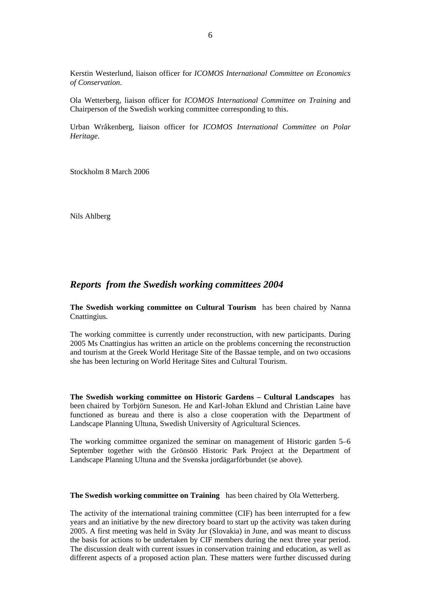Kerstin Westerlund, liaison officer for *ICOMOS International Committee on Economics of Conservation*.

Ola Wetterberg, liaison officer for *ICOMOS International Committee on Training* and Chairperson of the Swedish working committee corresponding to this.

Urban Wråkenberg, liaison officer for *ICOMOS International Committee on Polar Heritage*.

Stockholm 8 March 2006

Nils Ahlberg

# *Reports from the Swedish working committees 2004*

**The Swedish working committee on Cultural Tourism** has been chaired by Nanna Cnattingius.

The working committee is currently under reconstruction, with new participants. During 2005 Ms Cnattingius has written an article on the problems concerning the reconstruction and tourism at the Greek World Heritage Site of the Bassae temple, and on two occasions she has been lecturing on World Heritage Sites and Cultural Tourism.

**The Swedish working committee on Historic Gardens – Cultural Landscapes** has been chaired by Torbjörn Suneson. He and Karl-Johan Eklund and Christian Laine have functioned as bureau and there is also a close cooperation with the Department of Landscape Planning Ultuna, Swedish University of Agricultural Sciences.

The working committee organized the seminar on management of Historic garden 5–6 September together with the Grönsöö Historic Park Project at the Department of Landscape Planning Ultuna and the Svenska jordägarförbundet (se above).

#### **The Swedish working committee on Training** has been chaired by Ola Wetterberg.

The activity of the international training committee (CIF) has been interrupted for a few years and an initiative by the new directory board to start up the activity was taken during 2005. A first meeting was held in Sväty Jur (Slovakia) in June, and was meant to discuss the basis for actions to be undertaken by CIF members during the next three year period. The discussion dealt with current issues in conservation training and education, as well as different aspects of a proposed action plan. These matters were further discussed during